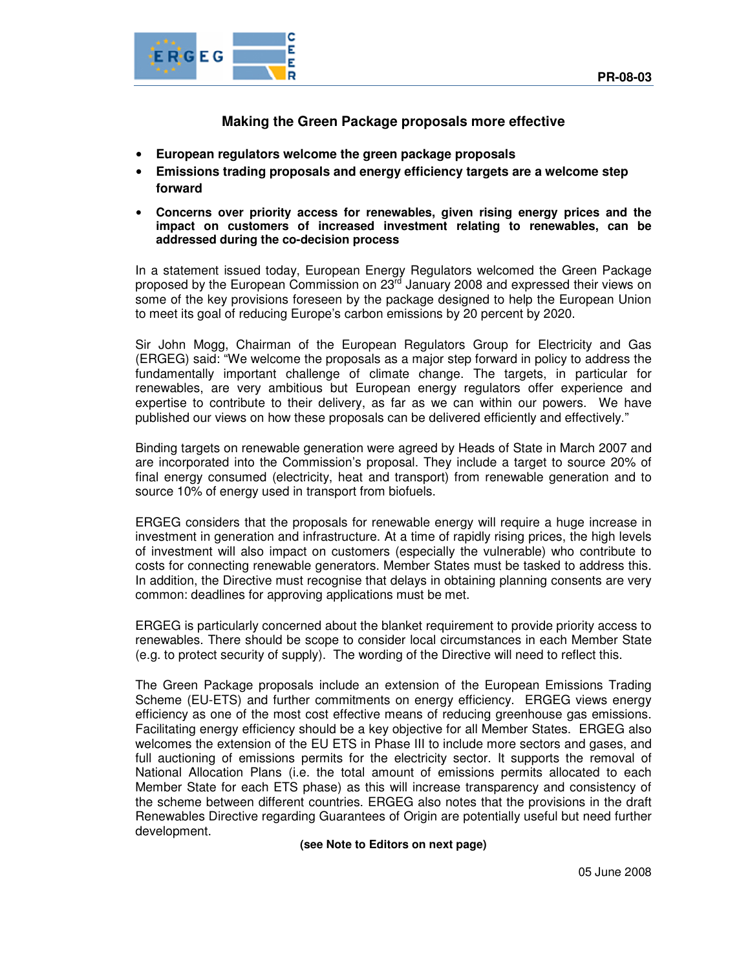

**Making the Green Package proposals more effective** 

- **European regulators welcome the green package proposals**
- **Emissions trading proposals and energy efficiency targets are a welcome step forward**
- **Concerns over priority access for renewables, given rising energy prices and the impact on customers of increased investment relating to renewables, can be addressed during the co-decision process**

In a statement issued today, European Energy Regulators welcomed the Green Package proposed by the European Commission on 23rd January 2008 and expressed their views on some of the key provisions foreseen by the package designed to help the European Union to meet its goal of reducing Europe's carbon emissions by 20 percent by 2020.

Sir John Mogg, Chairman of the European Regulators Group for Electricity and Gas (ERGEG) said: "We welcome the proposals as a major step forward in policy to address the fundamentally important challenge of climate change. The targets, in particular for renewables, are very ambitious but European energy regulators offer experience and expertise to contribute to their delivery, as far as we can within our powers. We have published our views on how these proposals can be delivered efficiently and effectively."

Binding targets on renewable generation were agreed by Heads of State in March 2007 and are incorporated into the Commission's proposal. They include a target to source 20% of final energy consumed (electricity, heat and transport) from renewable generation and to source 10% of energy used in transport from biofuels.

ERGEG considers that the proposals for renewable energy will require a huge increase in investment in generation and infrastructure. At a time of rapidly rising prices, the high levels of investment will also impact on customers (especially the vulnerable) who contribute to costs for connecting renewable generators. Member States must be tasked to address this. In addition, the Directive must recognise that delays in obtaining planning consents are very common: deadlines for approving applications must be met.

ERGEG is particularly concerned about the blanket requirement to provide priority access to renewables. There should be scope to consider local circumstances in each Member State (e.g. to protect security of supply). The wording of the Directive will need to reflect this.

The Green Package proposals include an extension of the European Emissions Trading Scheme (EU-ETS) and further commitments on energy efficiency. ERGEG views energy efficiency as one of the most cost effective means of reducing greenhouse gas emissions. Facilitating energy efficiency should be a key objective for all Member States. ERGEG also welcomes the extension of the EU ETS in Phase III to include more sectors and gases, and full auctioning of emissions permits for the electricity sector. It supports the removal of National Allocation Plans (i.e. the total amount of emissions permits allocated to each Member State for each ETS phase) as this will increase transparency and consistency of the scheme between different countries. ERGEG also notes that the provisions in the draft Renewables Directive regarding Guarantees of Origin are potentially useful but need further development.

**(see Note to Editors on next page)**